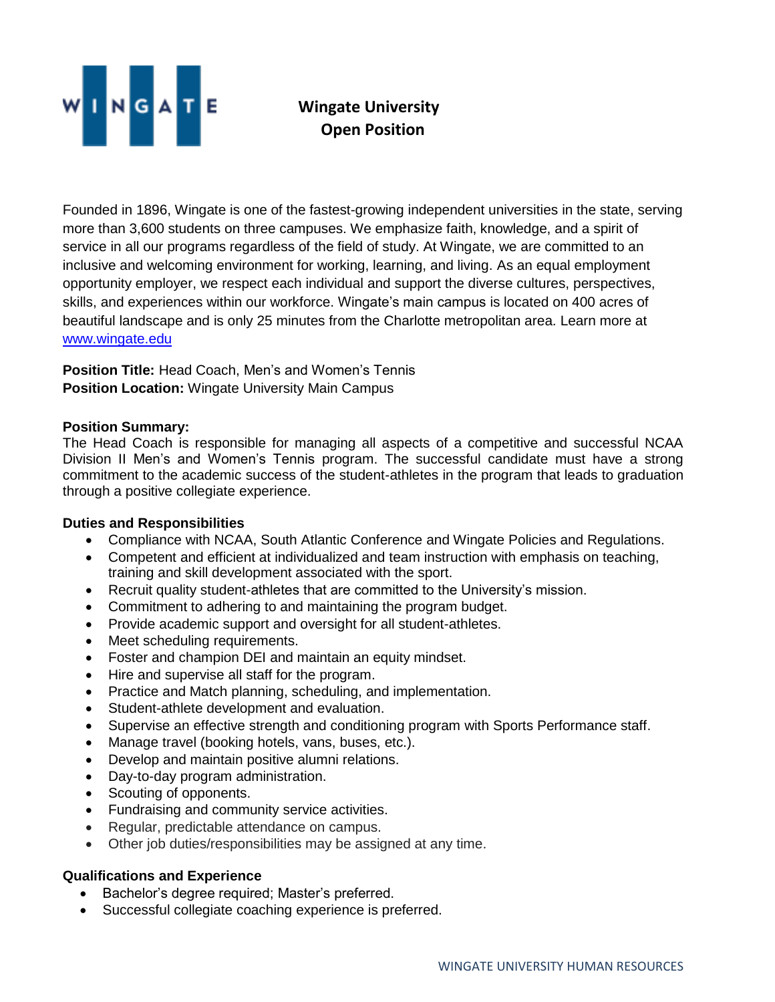

## **Wingate University Open Position**

Founded in 1896, Wingate is one of the fastest-growing independent universities in the state, serving more than 3,600 students on three campuses. We emphasize faith, knowledge, and a spirit of service in all our programs regardless of the field of study. At Wingate, we are committed to an inclusive and welcoming environment for working, learning, and living. As an equal employment opportunity employer, we respect each individual and support the diverse cultures, perspectives, skills, and experiences within our workforce. Wingate's main campus is located on 400 acres of beautiful landscape and is only 25 minutes from the Charlotte metropolitan area. Learn more at [www.wingate.edu](http://www.wingate/edu)

**Position Title:** Head Coach, Men's and Women's Tennis **Position Location:** Wingate University Main Campus

## **Position Summary:**

The Head Coach is responsible for managing all aspects of a competitive and successful NCAA Division II Men's and Women's Tennis program. The successful candidate must have a strong commitment to the academic success of the student-athletes in the program that leads to graduation through a positive collegiate experience.

## **Duties and Responsibilities**

- Compliance with NCAA, South Atlantic Conference and Wingate Policies and Regulations.
- Competent and efficient at individualized and team instruction with emphasis on teaching, training and skill development associated with the sport.
- Recruit quality student-athletes that are committed to the University's mission.
- Commitment to adhering to and maintaining the program budget.
- Provide academic support and oversight for all student-athletes.
- Meet scheduling requirements.
- Foster and champion DEI and maintain an equity mindset.
- Hire and supervise all staff for the program.
- Practice and Match planning, scheduling, and implementation.
- Student-athlete development and evaluation.
- Supervise an effective strength and conditioning program with Sports Performance staff.
- Manage travel (booking hotels, vans, buses, etc.).
- Develop and maintain positive alumni relations.
- Day-to-day program administration.
- Scouting of opponents.
- Fundraising and community service activities.
- Regular, predictable attendance on campus.
- Other job duties/responsibilities may be assigned at any time.

## **Qualifications and Experience**

- Bachelor's degree required; Master's preferred.
- Successful collegiate coaching experience is preferred.